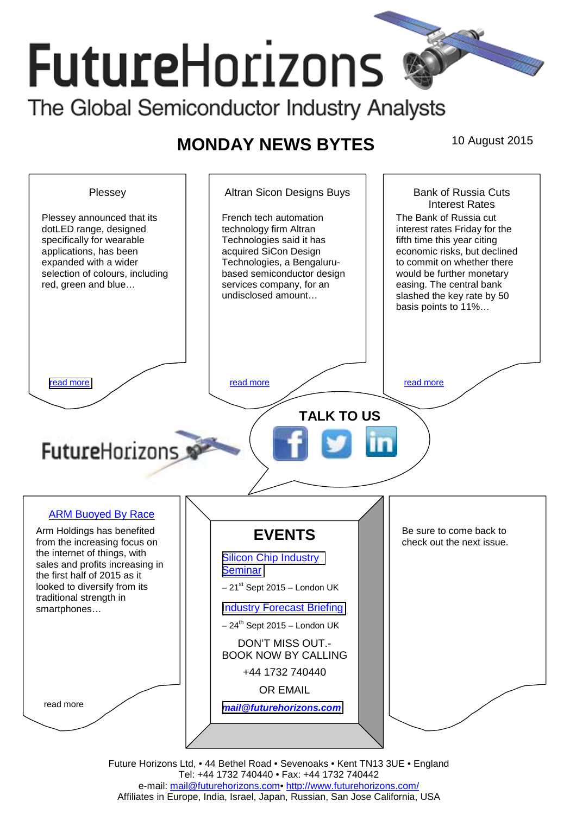# **Future**Horizons The Global Semiconductor Industry Analysts

## **MONDAY NEWS BYTES** 10 August 2015



Future Horizons Ltd, • 44 Bethel Road • Sevenoaks • Kent TN13 3UE • England Tel: +44 1732 740440 • Fax: +44 1732 740442 e-mail: mail@futurehorizons.com• http://www.futurehorizons.com/ Affiliates in Europe, India, Israel, Japan, Russian, San Jose California, USA